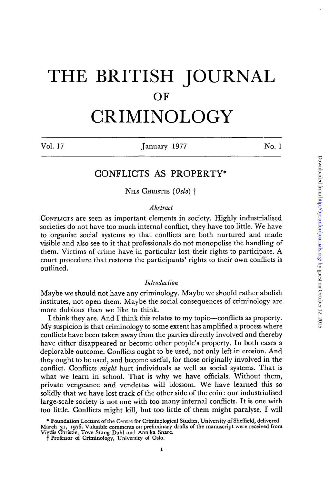# THE BRITISH JOURNAL **OF** CRIMINOLOGY

Vol. 17 **Ianuary 1977** No. 1

## CONFLICTS AS PROPERTY\*

NILS CHRISTIE *(Oslo)* f

#### *Abstract*

CONFLICTS are seen as important elements in society. Highly industrialised societies do not have too much internal conflict, they have too little. We have to organise social systems so that conflicts are both nurtured and made visible and also see to it that professionals do not monopolise the handling of them. Victims of crime have in particular lost their rights to participate. A court procedure that restores the participants' rights to their own conflicts is outlined.

## *Introduction*

Maybe we should not have any criminology. Maybe we should rather abolish institutes, not open them. Maybe the social consequences of criminology are more dubious than we like to think.

I think they are. And I think this relates to my topic—conflicts as property. My suspicion is that criminology to some extent has amplified a process where conflicts have been taken away from the parties directly involved and thereby have either disappeared or become other people's property. In both cases a deplorable outcome. Conflicts ought to be used, not only left in erosion. And they ought to be used, and become useful, for those originally involved in the conflict. Conflicts *might* hurt individuals as well as social systems. That is what we learn in school. That is why we have officials. Without them, private vengeance and vendettas will blossom. We have learned this so solidly that we have lost track of the other side of the coin: our industrialised large-scale society is not one with too many internal conflicts. It is one with too little. Conflicts might kill, but too little of them might paralyse. I will

<sup>\*</sup> Foundation Lecture of the Centre for Criminological Studies, University of Sheffield, delivered March 31, 1976. Valuable comments on preliminary drafts of the manuscript were received from Vigdis Christie, Tove Stang Dahl and Annika Snare.

f Professor of Criminology, University of Oslo.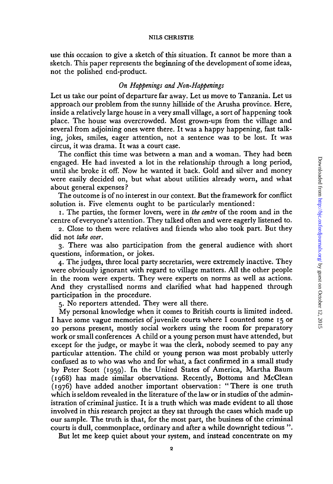use this occasion to give a sketch of this situation. It cannot be more than a sketch. This paper represents the beginning of the development of some ideas, not the polished end-product.

## *On Happenings and Non-Happenings*

Let us take our point of departure far away. Let us move to Tanzania. Let us approach our problem from the sunny hillside of the Arusha province. Here, inside a relatively large house in a very small village, a sort of happening took place. The house was overcrowded. Most grown-ups from the village and several from adjoining ones were there. It was a happy happening, fast talking, jokes, smiles, eager attention, not a sentence was to be lost. It was circus, it was drama. It was a court case.

The conflict this time was between a man and a woman. They had been engaged. He had invested a lot in the relationship through a long period, until she broke it off. Now he wanted it back. Gold and silver and money were easily decided on, but what about utilities already worn, and what about general expenses ?

The outcome is of no interest in our context. But the framework for conflict solution is. Five elements ought to be particularly mentioned:

1. The parties, the former lovers, were in *the centre* of the room and in the centre of everyone's attention. They talked often and were eagerly listened to.

2. Close to them were relatives and friends who also took part. But they did not *take over.*

3. There was also participation from the general audience with short questions, information, or jokes.

4. The judges, three local party secretaries, were extremely inactive. They were obviously ignorant with regard to village matters. All the other people in the room were experts. They were experts on norms as well as actions. And they crystallised norms and clarified what had happened through participation in the procedure.

5. No reporters attended. They were all there.

My personal knowledge when it comes to British courts is limited indeed. I have some vague memories of juvenile courts where I counted some 15 or 20 persons present, mostly social workers using the room for preparatory work or small conferences A child or a young person must have attended, but except for the judge, or maybe it was the clerk, nobody seemed to pay any particular attention. The child or young person was most probably utterly confused as to who was who and for what, a fact confirmed in a small study by Peter Scott (1959). In the United States of America, Martha Baum (1968) has made similar observations. Recently, Bottoms and McClean (1976) have added another important observation: "There is one truth which is seldom revealed in the literature of the law or in studies of the administration of criminal justice. It is a truth which was made evident to all those involved in this research project as they sat through the cases which made up our sample. The truth is that, for the most part, the business of the criminal courts is dull, commonplace, ordinary and after a while downright tedious ".

But let me keep quiet about your system, and instead concentrate on my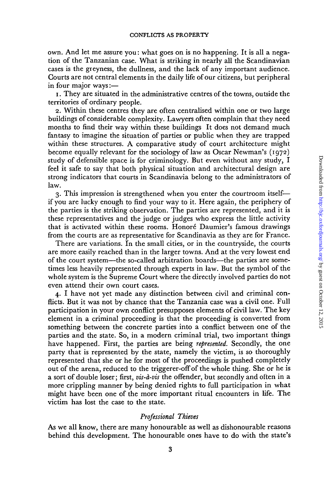own. And let me assure you: what goes on is no happening. It is all a negation of the Tanzanian case. What is striking in nearly all the Scandinavian cases is the greyness, the dullness, and the lack of any important audience. Courts are not central elements in the daily life of our citizens, but peripheral in four major ways:—

1. They are situated in the administrative centres of the towns, outside the territories of ordinary people.

2. Within these centres they are often centralised within one or two large buildings of considerable complexity. Lawyers often complain that they need months to find their way within these buildings It does not demand much fantasy to imagine the situation of parties or public when they are trapped within these structures. A comparative study of court architecture might become equally relevant for the sociology of law as Oscar Newman's (1972) study of defensible space is for criminology. But even without any study, I feel it safe to say that both physical situation and architectural design are strong indicators that courts in Scandinavia belong to the administrators of law.

3. This impression is strengthened when you enter the courtroom itself if you are lucky enough to find your way to it. Here again, the periphery of the parties is the striking observation. The parties are represented, and it is these representatives and the judge or judges who express the little activity that is activated within these rooms. Honoré Daumier's famous drawings from the courts are as representative for Scandinavia as they are for France.

There are variations. In the small cities, or in the countryside, the courts are more easily reached than in the larger towns. And at the very lowest end of the court system—the so-called arbitration boards—the parties are sometimes less heavily represented through experts in law. But the symbol of the whole system is the Supreme Court where the directly involved parties do not even attend their own court cases.

4. I have not yet made any distinction between civil and criminal conflicts. But it was not by chance that the Tanzania case was a civil one. Full participation in your own conflict presupposes elements of civil law. The key element in a criminal proceeding is that the proceeding is converted from something between the concrete parties into a conflict between one of the parties and the state. So, in a modern criminal trial, two important things have happened. First, the parties are being *represented.* Secondly, the one party that is represented by the state, namely the victim, is so thoroughly represented that she or he for most of the proceedings is pushed completely out of the arena, reduced to the triggerer-off of the whole thing. She or he is a sort of double loser; first, *vis-a-vis* the offender, but secondly and often in a more crippling manner by being denied rights to full participation in what might have been one of the more important ritual encounters in life. The victim has lost the case to the state.

#### *Professional Thieves*

As we all know, there are many honourable as well as dishonourable reasons behind this development. The honourable ones have to do with the state's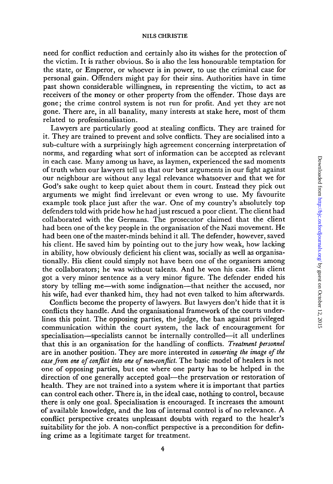need for conflict reduction and certainly also its wishes for the protection of the victim. It is rather obvious. So is also the less honourable temptation for the state, or Emperor, or whoever is in power, to use the criminal case for personal gain. Offenders might pay for their sins. Authorities have in time past shown considerable willingness, in representing the victim, to act as receivers of the money or other property from the offender. Those days are gone; the crime control system is not run for profit. And yet they are not gone. There are, in all banality, many interests at stake here, most of them related to professionalisation.

Lawyers are particularly good at stealing conflicts. They are trained for it. They are trained to prevent and solve conflicts. They are socialised into a sub-culture with a surprisingly high agreement concerning interpretation of norms, and regarding what sort of information can be accepted as relevant in each case. Many among us have, as laymen, experienced the sad moments of truth when our lawyers tell us that our best arguments in our fight against our neighbour are without any legal relevance whatsoever and that we for God's sake ought to keep quiet about them in court. Instead they pick out arguments we might find irrelevant or even wrong to use. My favourite example took place just after the war. One of my country's absolutely top defenders told with pride how he had just rescued a poor client. The client had collaborated with the Germans. The prosecutor claimed that the client had been one of the key people in the organisation of the Nazi movement. He had been one of the master-minds behind it all. The defender, however, saved his client. He saved him by pointing out to the jury how weak, how lacking in ability, how obviously deficient his client was, socially as well as organisationally. His client could simply not have been one of the organisers among the collaborators; he was without talents. And he won his case. His client got a very minor sentence as a very minor figure. The defender ended his story by telling me—with some indignation—that neither the accused, nor his wife, had ever thanked him, they had not even talked to him afterwards.

Conflicts become the property of lawyers. But lawyers don't hide that it is conflicts they handle. And the organisational framework of the courts underlines this point. The opposing parties, the judge, the ban against privileged communication within the court system, the lack of encouragement for specialisation—specialists cannot be internally controlled—it all underlines that this is an organisation for the handling of conflicts. *Treatment personnel* are in another position. They are more interested in *converting the image of the case from one of conflict into one of non-conflict.* The basic model of healers is not one of opposing parties, but one where one party has to be helped in the direction of one generally accepted goal—the preservation or restoration of health. They are not trained into a system where it is important that parties can control each other. There is, in the ideal case, nothing to control, because there is only one goal. Specialisation is encouraged. It increases the amount of available knowledge, and the loss of internal control is of no relevance. A conflict perspective creates unpleasant doubts with regard to the healer's suitability for the job. A non-conflict perspective is a precondition for defining crime as a legitimate target for treatment.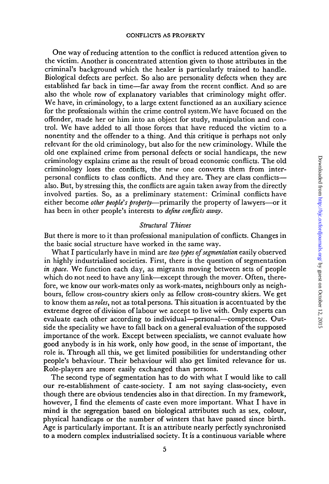One way of reducing attention to the conflict is reduced attention given to the victim. Another is concentrated attention given to those attributes in the criminal's background which the healer is particularly trained to handle. Biological defects are perfect. So also are personality defects when they are established far back in time—far away from the recent conflict. And so are also the whole row of explanatory variables that criminology might offer. We have, in criminology, to a large extent functioned as an auxiliary science for the professionals within the crime control system.We have focused on the offender, made her or him into an object for study, manipulation and control. We have added to all those forces that have reduced the victim to a nonentity and the offender to a thing. And this critique is perhaps not only relevant for the old criminology, but also for the new criminology. While the old one explained crime from personal defects or social handicaps, the new criminology explains crime as the result of broad economic conflicts. The old criminology loses the conflicts, the new one converts them from interpersonal conflicts to class conflicts. And they are. They are class conflicts also. But, by stressing this, the conflicts are again taken away from the directly involved parties. So, as a preliminary statement: Criminal conflicts have either become *other people's property*—primarily the property of lawyers—or it has been in other people's interests to *define conflicts away.*

## *Structural Thieves*

But there is more to it than professional manipulation of conflicts. Changes in the basic social structure have worked in the same way.

What I particularly have in mind are *two types of segmentation* easily observed in highly industrialised societies. First, there is the question of segmentation *in space.* We function each day, as migrants moving between sets of people which do not need to have any link—except through the mover. Often, therefore, we know our work-mates only as work-mates, neighbours only as neighbours, fellow cross-country skiers only as fellow cross-country skiers. We get to know them as *roles,* not as total persons. This situation is accentuated by the extreme degree of division of labour we accept to live with. Only experts can evaluate each other according to individual—personal—competence. Outside the speciality we have to fall back on a general evaluation of the supposed importance of the work. Except between specialists, we cannot evaluate how good anybody is in his work, only how good, in the sense of important, the role is. Through all this, we get limited possibilities for understanding other people's behaviour. Their behaviour will also get limited relevance for us. Role-players are more easily exchanged than persons.

The second type of segmentation has to do with what I would like to call our re-establishment of caste-society. I am not saying class-society, even though there are obvious tendencies also in that direction. In my framework, however, I find the elements of caste even more important. What I have in mind is the segregation based on biological attributes such as sex, colour, physical handicaps or the number of winters that have passed since birth. Age is particularly important. It is an attribute nearly perfectly synchronised to a modern complex industrialised society. It is a continuous variable where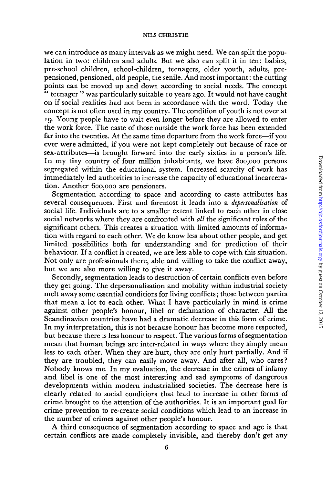we can introduce as many intervals as we might need. We can split the population in two: children and adults. But we also can split it in ten: babies, pre-school children, school-children, teenagers, older youth, adults, prepensioned, pensioned, old people, the senile. And most important: the cutting points can be moved up and down according to social needs. The concept  $\cdot$  teenager" was particularly suitable 10 years ago. It would not have caught on if social realities had not been in accordance with the word. Today the concept is not often used in my country. The condition of youth is not over at 19. Young people have to wait even longer before they are allowed to enter the work force. The caste of those outside the work force has been extended far into the twenties. At the same time departure from the work force—if you ever were admitted, if you were not kept completely out because of race or sex-attributes—is brought forward into the early sixties in a person's life. In my tiny country of four million inhabitants, we have 800,000 persons segregated within the educational system. Increased scarcity of work has immediately led authorities to increase the capacity of educational incarceration. Another 600,000 are pensioners.

Segmentation according to space and according to caste attributes has several consequences. First and foremost it leads into a *depersonalisation* of social life. Individuals are to a smaller extent linked to each other in close social networks where they are confronted with *all* the significant roles of the significant others. This creates a situation with limited amounts of information with regard to each other. We do know less about other people, and get limited possibilities both for understanding and for prediction of their behaviour. If a conflict is created, we are less able to cope with this situation. Not only are professionals there, able and willing to take the conflict away, but we are also more willing to give it away.

Secondly, segmentation leads to destruction of certain conflicts even before they get going. The depersonalisation and mobility within industrial society melt away some essential conditions for living conflicts; those between parties that mean a lot to each other. What I have particularly in mind is crime against other people's honour, libel or defamation of character. All the Scandinavian countries have had a dramatic decrease in this form of crime. In my interpretation, this is not because honour has become more respected, but because there is less honour to respect. The various forms of segmentation mean that human beings are inter-related in ways where they simply mean less to each other. When they are hurt, they are only hurt partially. And if they are troubled, they can easily move away. And after all, who cares? Nobody knows me. In my evaluation, the decrease in the crimes of infamy and libel is one of the most interesting and sad symptoms of dangerous developments within modern industrialised societies. The decrease here is clearly related to social conditions that lead to increase in other forms of crime brought to the attention of the authorities. It is an important goal for crime prevention to re-create social conditions which lead to an increase in the number of crimes against other people's honour.

A third consequence of segmentation according to space and age is that certain conflicts are made completely invisible, and thereby don't get any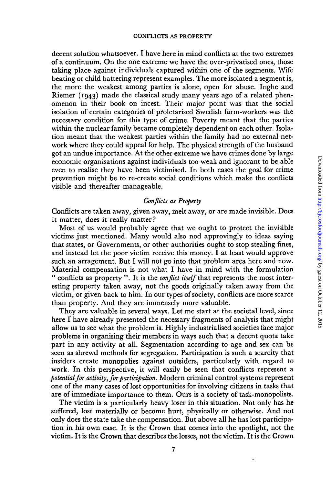decent solution whatsoever. I have here in mind conflicts at the two extremes of a continuum. On the one extreme we have the over-privatised ones, those taking place against individuals captured within one of the segments. Wife beating or child battering represent examples. The more isolated a segment is, the more the weakest among parties is alone, open for abuse. Inghe and Riemer (1943) made the classical study many years ago of a related phenomenon in their book on incest. Their major point was that the social isolation of certain categories of proletarised Swedish farm-workers was the necessary condition for this type of crime. Poverty meant that the parties within the nuclear family became completely dependent on each other. Isolation meant that the weakest parties within the family had no external network where they could appeal for help. The physical strength of the husband got an undue importance. At the other extreme we have crimes done by large economic organisations against individuals too weak and ignorant to be able even to realise they have been victimised. In both cases the goal for crime prevention might be to re-create social conditions which make the conflicts visible and thereafter manageable.

## *Conflicts as Property*

Conflicts are taken away, given away, melt away, or are made invisible. Does it matter, does it really matter?

Most of us would probably agree that we ought to protect the invisible victims just mentioned. Many would also nod approvingly to ideas saying that states, or Governments, or other authorities ought to stop stealing fines, and instead let the poor victim receive this money. I at least would approve such an arragement. But I will not go into that problem area here and now. Material compensation is not what I have in mind with the formulation " conflicts as property ". It is the *conflict itself that* represents the most interesting property taken away, not the goods originally taken away from the victim, or given back to him. In our types of society, conflicts are more scarce than property. And they are immensely more valuable.

They are valuable in several ways. Let me start at the societal level, since here I have already presented the necessary fragments of analysis that might allow us to see what the problem is. Highly industrialised societies face major problems in organising their members in ways such that a decent quota take part in any activity at all. Segmentation according to age and sex can be seen as shrewd methods for segregation. Participation is such a scarcity that insiders create monopolies against outsiders, particularly with regard to work. In this perspective, it will easily be seen that conflicts represent a *potential for activity, for participation.* Modern criminal control systems represent one of the many cases of lost opportunities for involving citizens in tasks that are of immediate importance to them. Ours is a society of task-monopolists.

The victim is a particularly heavy loser in this situation. Not only has he suffered, lost materially or become hurt, physically or otherwise. And not only does the state take the compensation. But above all he has lost participation in his own case. It is the Crown that comes into the spotlight, not the victim. It is the Crown that describes the losses, not the victim. It is the Crown

ö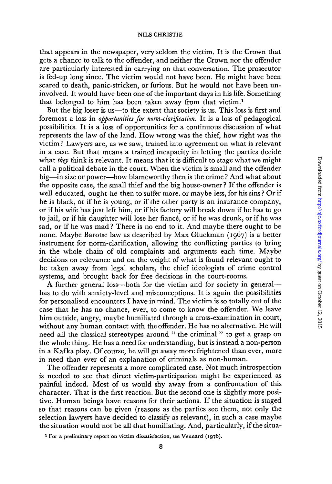that appears in the newspaper, very seldom the victim. It is the Crown that gets a chance to talk to the offender, and neither the Crown nor the offender are particularly interested in carrying on that conversation. The prosecutor is fed-up long since. The victim would not have been. He might have been scared to death, panic-stricken, or furious. But he would not have been uninvolved. It would have been one of the important days in his life. Something that belonged to him has been taken away from that victim.<sup>1</sup>

But the big loser is us—to the extent that society is us. This loss is first and foremost a loss in *opportunities for norm-clarification.* It is a loss of pedagogical possibilities. It is a loss of opportunities for a continuous discussion of what represents the law of the land. How wrong was the thief, how right was the victim ? Lawyers are, as we saw, trained into agreement on what is relevant in a case. But that means a trained incapacity in letting the parties decide what *they* think is relevant. It means that it is difficult to stage what we might call a political debate in the court. When the victim is small and the offender big—in size or power—how blameworthy then is the crime ? And what about the opposite case, the small thief and the big house-owner ? If the offender is well educated, ought he then to suffer more, or maybe less, for his sins? Or if he is black, or if he is young, or if the other party is an insurance company, or if his wife has just left him, or if his factory will break down if he has to go to jail, or if his daughter will lose her fiancé, or if he was drunk, or if he was sad, or if he was mad ? There is no end to it. And maybe there ought to be none. Maybe Barotse law as described by Max Gluckman (1967) is a better instrument for norm-clarification, allowing the conflicting parties to bring in the whole chain of old complaints and arguments each time. Maybe decisions on relevance and on the weight of what is found relevant ought to be taken away from legal scholars, the chief ideologists of crime control systems, and brought back for free decisions in the court-rooms.

A further general loss—both for the victim and for society in general has to do with anxiety-level and misconceptions. It is again the possibilities for personalised encounters I have in mind. The victim is so totally out of the case that he has no chance, ever, to come to know the offender. We leave him outside, angry, maybe humiliated through a cross-examination in court, without any human contact with the offender. He has no alternative. He will need all the classical stereotypes around " the criminal " to get a grasp on the whole thing. He has a need for understanding, but is instead a non-person in a Kafka play. Of course, he will go away more frightened than ever, more in need than ever of an explanation of criminals as non-human.

The offender represents a more complicated case. Not much introspection is needed to see that direct victim-participation might be experienced as painful indeed. Most of us would shy away from a confrontation of this character. That is the first reaction. But the second one is slightly more positive. Human beings have reasons for their actions. If the situation is staged so that reasons can be given (reasons as the parties see them, not only the selection lawyers have decided to classify as relevant), in such a case maybe the situation would not be all that humiliating. And, particularly, if the situa-

<sup>&</sup>lt;sup>1</sup> For a preliminary report on victim dissatisfaction, see Vennard (1976).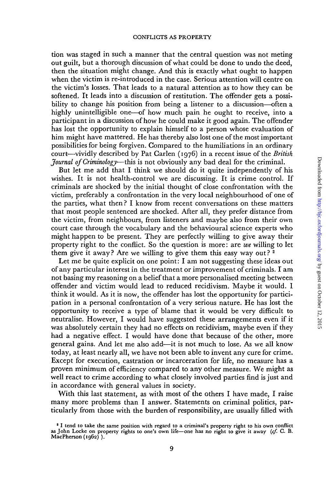tion was staged in such a manner that the central question was not meting out guilt, but a thorough discussion of what could be done to undo the deed, then the situation might change. And this is exactly what ought to happen when the victim is re-introduced in the case. Serious attention will centre on the victim's losses. That leads to a natural attention as to how they can be softened. It leads into a discussion of restitution. The offender gets a possibility to change his position from being a listener to a discussion—often a highly unintelligible one—of how much pain he ought to receive, into a participant in a discussion of how he could make it good again. The offender has lost the opportunity to explain himself to a person whose evaluation of him might have mattered. He has thereby also lost one of the most important possibilities for being forgiven. Compared to the humiliations in an ordinary court'—vividly described by Pat Garlen (1976) in a recent issue of the *British Journal of Criminology-*—this is not obviously any bad deal for the criminal.

But let me add that I think we should do it quite independently of his wishes. It is not health-control we are discussing. It is crime control. If criminals are shocked by the initial thought of close confrontation with the victim, preferably a confrontation in the very local neighbourhood of one of the parties, what then? I know from recent conversations on these matters that most people sentenced are shocked. After all, they prefer distance from the victim, from neighbours, from listeners and maybe also from their own court case through the vocabulary and the behavioural science experts who might happen to be present. They are perfectly willing to give away their property right to the conflict. So the question is more: are *we* willing to let them give it away? Are we willing to give them this easy way out?<sup>3</sup>

Let me be quite explicit on one point: I am not suggesting these ideas out of any particular interest in the treatment or improvement of criminals. I am not basing my reasoning on a belief that a more personalised meeting between offender and victim would lead to reduced recidivism. Maybe it would. I think it would. As it is now, the offender has lost the opportunity for participation in a personal confrontation of a very serious nature. He has lost the opportunity to receive a type of blame that it would be very difficult to neutralise. However, I would have suggested these arrangements even if it was absolutely certain they had no effects on recidivism, maybe even if they had a negative effect. I would have done that because of the other, more general gains. And let me also add'—it is not much to lose. As we all know today, at least nearly all, we have not been able to invent any cure for crime. Except for execution, castration or incarceration for life, no measure has a proven minimum of efficiency compared to any other measure. We might as well react to crime according to what closely involved parties find is just and in accordance with general values in society.

With this last statement, as with most of the others I have made, I raise many more problems than I answer. Statements on criminal politics, particularly from those with the burden of responsibility, are usually filled with

<sup>&</sup>lt;sup>2</sup> I tend to take the same position with regard to a criminal's property right to his own conflict as John Locke on property rights to one's own life—one has no right to give it away *(cf.* C. B. MacPherson (1962) ).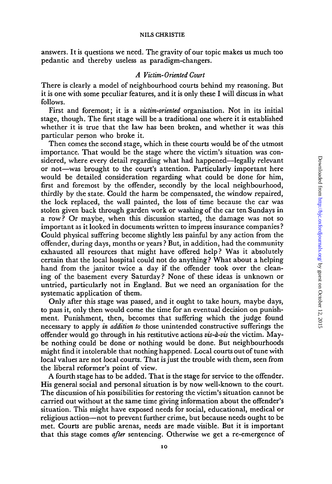#### NILS CHRISTIE

answers. It is questions we need. The gravity of our topic makes us much too pedantic and thereby useless as paradigm-changers.

## *A Victim-Oriented Court*

There is clearly a model of neighbourhood courts behind my reasoning. But it is one with some peculiar features, and it is only these I will discuss in what follows.

First and foremost; it is a *victim-oriented* organisation. Not in its initial stage, though. The first stage will be a traditional one where it is established whether it is true that the law has been broken, and whether it was this particular person who broke it.

Then comes the second stage, which in these courts would be of the utmost importance. That would be the stage where the victim's situation was considered, where every detail regarding what had happened—legally relevant or not—was brought to the court's attention. Particularly important here would be detailed consideration regarding what could be done for him, first and foremost by the offender, secondly by the local neighbourhood, thirdly by the state. Could the harm be compensated, the window repaired, the lock replaced, the wall painted, the loss of time because the car was stolen given back through garden work or washing of the car ten Sundays in a row? Or maybe, when this discussion started, the damage was not so important as it looked in documents written to impress insurance companies ? Could physical suffering become slightly less painful by any action from the offender, during days, months or years ? But, in addition, had the community exhausted all resources that might have offered help? Was it absolutely certain that the local hospital could not do anything? What about a helping hand from the janitor twice a day if the offender took over the cleaning of the basement every Saturday? None of these ideas is unknown or untried, particularly not in England. But we need an organisation for the systematic application of them.

Only after this stage was passed, and it ought to take hours, maybe days, to pass it, only then would come the time for an eventual decision on punishment. Punishment, then, becomes that suffering which the judge found necessary to apply *in addition to* those unintended constructive sufferings the offender would go through in his restitutive actions *vis-a-vis* the victim. Maybe nothing could be done or nothing would be done. But neighbourhoods might find it intolerable that nothing happened. Local courts out of tune with local values are not local courts. That is just the trouble with them, seen from the liberal reformer's point of view.

A fourth stage has to be added. That is the stage for service to the offender. His general social and personal situation is by now well-known to the court. The discussion of his possibilities for restoring the victim's situation cannot be carried out without at the same time giving information about the offender's situation. This might have exposed needs for social, educational, medical or religious action—not to prevent further crime, but because needs ought to be met. Courts are public arenas, needs are made visible. But it is important that this stage comes *after* sentencing. Otherwise we get a re-emergence of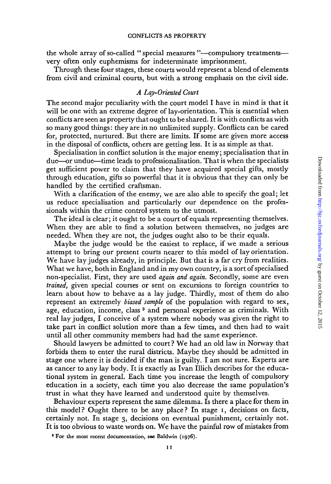the whole array of so-called "special measures "—compulsory treatments very often only euphemisms for indeterminate imprisonment.

Through these four stages, these courts would represent a blend of elements from civil and criminal courts, but with a strong emphasis on the civil side.

#### *A Lay-Oriented Court*

The second major peculiarity with the court model I have in mind is that it will be one with an extreme degree of lay-orientation. This is essential when conflicts are seen as property that ought to be shared. It is with conflicts as with so many good things: they are in no unlimited supply. Conflicts can be cared for, protected, nurtured. But there are limits. If some are given more access in the disposal of conflicts, others are getting less. It is as simple as that.

Specialisation in conflict solution is the major enemy; specialisation that in due—or undue'—time leads to professionalisation. That is when the specialists get sufficient power to claim that they have acquired special gifts, mostly through education, gifts so powerful that it is obvious that they can only be handled by the certified craftsman.

With a clarification of the enemy, we are also able to specify the goal; let us reduce specialisation and particularly our dependence on the professionals within the crime control system to the utmost.

The ideal is clear; it ought to be a court of equals representing themselves. When they are able to find a solution between themselves, no judges are needed. When they are not, the judges ought also to be their equals.

Maybe the judge would be the easiest to replace, if we made a serious attempt to bring our present courts nearer to this model of lay orientation. We have lay judges already, in principle. But that is a far cry from realities. What we have, both in England and in my own country, is a sort of specialised non-specialist. First, they are used *again and again.* Secondly, some are even *trained,* given special courses or sent on excursions to foreign countries to learn about how to behave as a lay judge. Thirdly, most of them do also represent an extremely *biased sample* of the population with regard to sex, age, education, income, class <sup>3</sup> and personal experience as criminals. With real lay judges, I conceive of a system where nobody was given the right to take part in conflict solution more than a few times, and then had to wait until all other community members had had the same experience.

Should lawyers be admitted to court ? We had an old law in Norway that forbids them to enter the rural districts. Maybe they should be admitted in stage one where it is decided if the man is guilty. I am not sure. Experts are as cancer to any lay body. It is exactly as Ivan Illich describes for the educational system in general. Each time you increase the length of compulsory education in a society, each time you also decrease the same population's trust in what they have learned and understood quite by themselves.

Behaviour experts represent the same dilemma. Is there a place for them in this model? Ought there to be any place? In stage i, decisions on facts, certainly not. In stage 3, decisions on eventual punishment, certainly not. It is too obvious to waste words on. We have the painful row of mistakes from

<sup>3</sup> For the most recent documentation, *see* Baldwin (1976).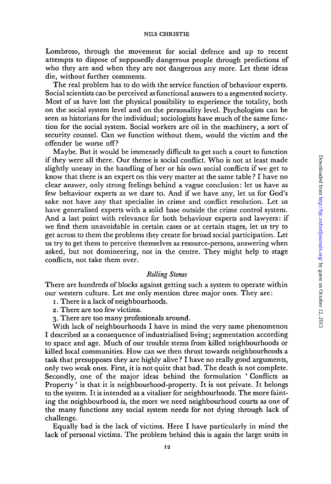Lombroso, through the movement for social defence and up to recent attempts to dispose of supposedly dangerous people through predictions of who they are and when they are not dangerous any more. Let these ideas die, without further comments.

The real problem has to do with the service function of behaviour experts. Social scientists can be perceived as functional answers to a segmented society. Most of us have lost the physical possibility to experience the totality, both on the social system level and on the personality level. Psychologists can be seen as historians for the individual; sociologists have much of the same function for the social system. Social workers are oil in the machinery, a sort of security counsel. Can we function without them, would the victim and the offender be worse off?

Maybe. But it would be immensely difficult to get such a court to function if they were all there. Our theme is social conflict. Who is not at least made slightly uneasy in the handling of her or his own social conflicts if we get to know that there is an expert on this very matter at the same table ? I have no clear answer, only strong feelings behind a vague conclusion: let us have as few behaviour experts as we dare to. And if we have any, let us for God's sake not have any that specialise in crime and conflict resolution. Let us have generalised experts with a solid base outside the crime control system. And a last point with relevance for both behaviour experts and lawyers: if we find them unavoidable in certain cases or at certain stages, let us try to get across to them the problems they create for broad social participation. Let us try to get them to perceive themselves as resource-persons, answering when asked, but not domineering, not in the centre. They might help to stage conflicts, not take them over.

## *Rolling Stones*

There are hundreds of blocks against getting such a system to operate within our western culture. Let me only mention three major ones. They are:

1. There is a lack of neighbourhoods.

2. There are too few victims.

3. There are too many professionals around.

With lack of neighbourhoods I have in mind the very same phenomenon I described as a consequence of industrialised living; segmentation according to space and age. Much of our trouble stems from killed neighbourhoods or killed local communities. How can we then thrust towards neighbourhoods a task that presupposes they are highly alive ? I have no really good arguments, only two weak ones. First, it is not quite that bad. The death is not complete. Secondly, one of the major ideas behind the formulation ' Conflicts as Property' is that it is neighbourhood-property. It is not private. It belongs to the system. It is intended as a vitaliser for neighbourhoods. The more fainting the neighbourhood is, the more we need neighbourhood courts as one of the many functions any social system needs for not dying through lack of challenge.

Equally bad is the lack of victims. Here I have particularly in mind the lack of personal victims. The problem behind this is again the large units in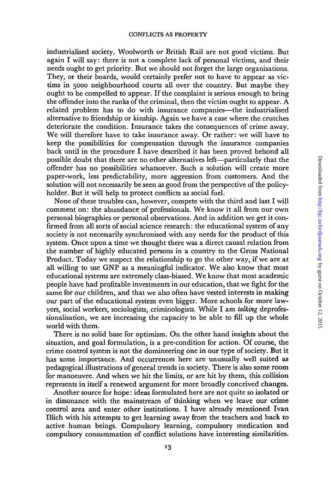industrialised society. Woolworth or British Rail are not good victims. But again I will say: there is not a complete lack of personal victims, and their needs ought to get priority. But we should not forget the large organisations. They, or their boards, would certainly prefer not to have to appear as victims in 5000 neighbourhood courts all over the country. But maybe they ought to be compelled to appear. If the complaint is serious enough to bring the offender into the ranks of the criminal, then the victim ought to appear. A related problem has to do with insurance companies—the industrialised alternative to friendship or kinship. Again we have a case where the crutches deteriorate the condition. Insurance takes the consequences of crime away. We will therefore have to take insurance away. Or rather: we will have to keep the possibilities for compensation through the insurance companies back until in the procedure I have described it has been proved behond all possible doubt that there are no other alternatives left—particularly that the offender has no possibilities whatsoever. Such a solution will create more paper-work, less predictability, more aggression from customers. And the solution will not necessarily be seen as good from the perspective of the policyholder. But it will help to protect conflicts as social fuel.

None of these troubles can, however, compete with the third and last I will comment on: the abundance of professionals. We know it all from our own personal biographies or personal observations. And in addition we get it confirmed from all sorts of social science research: the educational system of any society is not necessarily synchronised with any needs for the product of this system. Once upon a time we thought there was a direct causal relation from the number of highly educated persons in a country to the Gross National Product. Today we suspect the relationship to go the other way, if we are at all willing to use GNP as a meaningful indicator. We also know that most educational systems are extremely class-biased. We know that most academic people have had profitable investments in our education, that we fight for the same for our children, and that we also often have vested interests in making our part of the educational system even bigger. More schools for more lawyers, social workers, sociologists, criminologists. While I am *talking* deprofessionalisation, we are increasing the capacity to be able to fill up the whole world with them.

There is no solid base for optimism. On the other hand insights about the situation, and goal formulation, is a pre-condition for action. Of course, the crime control system is not the domineering one in our type of society. But it has some importance. And occurrences here are unusually well suited as pedagogical illustrations of general trends in society. There is also some room for manoeuvre. And when we hit the limits, or are hit by them, this collision represents in itself a renewed argument for more broadly conceived changes.

Another source for hope: ideas formulated here are not quite so isolated or in dissonance with the mainstream of thinking when we leave our crime control area and enter other institutions. I have already mentioned Ivan Illich with his attempts to get learning away from the teachers and back to active human beings. Compulsory learning, compulsory medication and compulsory consummation of conflict solutions have interesting similarities.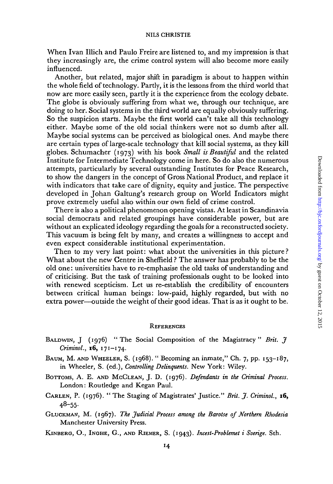#### NILS CHRISTIE

When Ivan Illich and Paulo Freire are listened to, and my impression is that they increasingly are, the crime control system will also become more easily influenced.

Another, but related, major shift in paradigm is about to happen within the whole field of technology. Partly, it is the lessons from the third world that now are more easily seen, partly it is the experience from the ecology debate. The globe is obviously suffering from what we, through our technique, are doing to her. Social systems in the third world are equally obviously suffering. So the suspicion starts. Maybe the first world can't take all this technology either. Maybe some of the old social thinkers were not so dumb after all. Maybe social systems can be perceived as biological ones. And maybe there are certain types of large-scale technology that kill social systems, as they kill globes. Schumacher (1973) with his book *Small is Beautiful* and the related Institute for Intermediate Technology come in here. So do also the numerous attempts, particularly by several outstanding Institutes for Peace Research, to show the dangers in the concept of Gross National Product, and replace it with indicators that take care of dignity, equity and justice. The perspective developed in Johan Galtung's research group on World Indicators might prove extremely useful also within our own field of crime control.

There is also a political phenomenon opening vistas. At least in Scandinavia social democrats and related groupings have considerable power, but are without an explicated ideology regarding the goals for a reconstructed society. This vacuum is being felt by many, and creates a willingness to accept and even expect considerable institutional experimentation.

Then to my very last point: what about the universities in this picture? What about the new Centre in Sheffield ? The answer has probably to be the old one: universities have to re-emphasise the old tasks of understanding and of criticising. But the task of training professionals ought to be looked into with renewed scepticism. Let us re-establish the credibility of encounters between critical human beings: low-paid, highly regarded, but with no extra power—outside the weight of their good ideas. That is as it ought to be.

#### **REFERENCES**

- BALDWIN, J (1976) "The Social Composition of the Magistracy" Brit. J *Criminol.*, 16, 171-174.
- BAUM, M. AND WHEELER, S. (ig68). " Becoming an inmate," Ch. 7, pp. 153-187, in Wheeler, S. (ed.), *Controlling Delinquents.* New York: Wiley.
- BOTTOMS, A. E. AND MCGLEAN, J. D. (1976). *Defendants in the Criminal Process.* London: Routledge and Kegan Paul.
- CARLEN, P. (1976). " The Staging of Magistrates' Justice." *Brit. J. Criminol.,* 16, 48-55-
- GLUCKMAN, M. (1967). *The Judicial Process among the Barotse of Northern Rhodesia* Manchester University Press.
- KINBERG, O., INGHE, G., AND RIEMER, S. (1943). *Incest-Problemet i Sverige.* Sth.